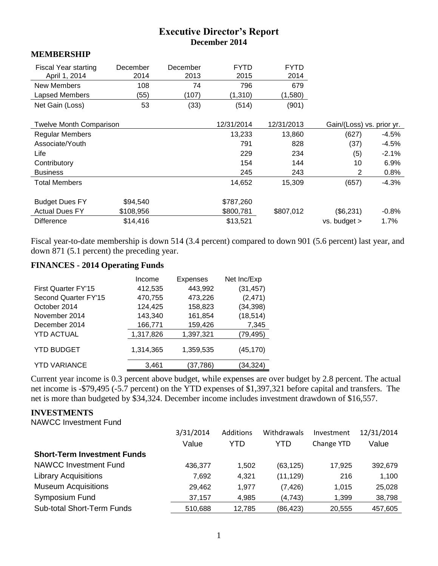# **Executive Director's Report December 2014**

#### **MEMBERSHIP**

| Fiscal Year starting<br>April 1, 2014 | December<br>2014 | December<br>2013 | <b>FYTD</b><br>2015 | <b>FYTD</b><br>2014 |                           |         |
|---------------------------------------|------------------|------------------|---------------------|---------------------|---------------------------|---------|
| <b>New Members</b>                    | 108              | 74               | 796                 | 679                 |                           |         |
| Lapsed Members                        | (55)             | (107)            | (1,310)             | (1,580)             |                           |         |
| Net Gain (Loss)                       | 53               | (33)             | (514)               | (901)               |                           |         |
|                                       |                  |                  |                     |                     |                           |         |
| <b>Twelve Month Comparison</b>        |                  |                  | 12/31/2014          | 12/31/2013          | Gain/(Loss) vs. prior yr. |         |
| <b>Regular Members</b>                |                  |                  | 13,233              | 13,860              | (627)                     | $-4.5%$ |
| Associate/Youth                       |                  |                  | 791                 | 828                 | (37)                      | $-4.5%$ |
| Life                                  |                  |                  | 229                 | 234                 | (5)                       | $-2.1%$ |
| Contributory                          |                  |                  | 154                 | 144                 | 10                        | 6.9%    |
| <b>Business</b>                       |                  |                  | 245                 | 243                 | 2                         | 0.8%    |
| <b>Total Members</b>                  |                  |                  | 14,652              | 15,309              | (657)                     | $-4.3%$ |
|                                       |                  |                  |                     |                     |                           |         |
| <b>Budget Dues FY</b>                 | \$94,540         |                  | \$787,260           |                     |                           |         |
| <b>Actual Dues FY</b>                 | \$108,956        |                  | \$800,781           | \$807,012           | (\$6,231)                 | $-0.8%$ |
| <b>Difference</b>                     | \$14,416         |                  | \$13,521            |                     | vs. budget >              | 1.7%    |

Fiscal year-to-date membership is down 514 (3.4 percent) compared to down 901 (5.6 percent) last year, and down 871 (5.1 percent) the preceding year.

# **FINANCES - 2014 Operating Funds**

|                      | Income    | Expenses  | Net Inc/Exp |
|----------------------|-----------|-----------|-------------|
| First Quarter FY'15  | 412,535   | 443,992   | (31, 457)   |
| Second Quarter FY'15 | 470,755   | 473,226   | (2, 471)    |
| October 2014         | 124,425   | 158,823   | (34, 398)   |
| November 2014        | 143,340   | 161,854   | (18, 514)   |
| December 2014        | 166,771   | 159,426   | 7,345       |
| <b>YTD ACTUAL</b>    | 1,317,826 | 1,397,321 | (79, 495)   |
| <b>YTD BUDGET</b>    | 1,314,365 | 1,359,535 | (45, 170)   |
| <b>YTD VARIANCE</b>  | 3,461     | (37,786)  | (34,324)    |

Current year income is 0.3 percent above budget, while expenses are over budget by 2.8 percent. The actual net income is -\$79,495 (-5.7 percent) on the YTD expenses of \$1,397,321 before capital and transfers. The net is more than budgeted by \$34,324. December income includes investment drawdown of \$16,557.

### **INVESTMENTS**

NAWCC Investment Fund

|                                    | 3/31/2014 | Additions | <b>Withdrawals</b> | Investment | 12/31/2014 |
|------------------------------------|-----------|-----------|--------------------|------------|------------|
|                                    | Value     | YTD       | YTD                | Change YTD | Value      |
| <b>Short-Term Investment Funds</b> |           |           |                    |            |            |
| <b>NAWCC Investment Fund</b>       | 436.377   | 1,502     | (63, 125)          | 17,925     | 392,679    |
| <b>Library Acquisitions</b>        | 7,692     | 4,321     | (11, 129)          | 216        | 1,100      |
| <b>Museum Acquisitions</b>         | 29,462    | 1.977     | (7, 426)           | 1.015      | 25,028     |
| Symposium Fund                     | 37,157    | 4,985     | (4, 743)           | 1,399      | 38,798     |
| <b>Sub-total Short-Term Funds</b>  | 510,688   | 12.785    | (86, 423)          | 20,555     | 457,605    |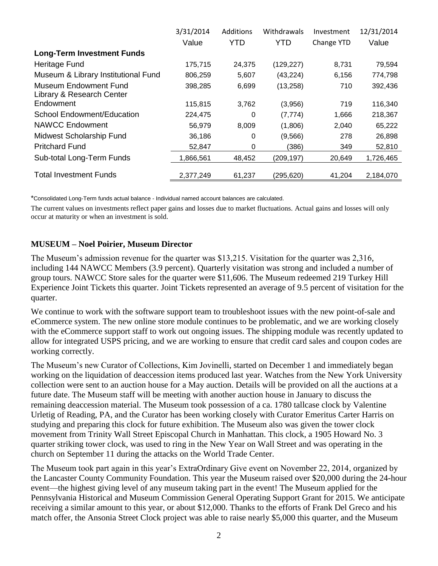|                                                           | 3/31/2014 | Additions  | Withdrawals | Investment | 12/31/2014 |
|-----------------------------------------------------------|-----------|------------|-------------|------------|------------|
|                                                           | Value     | <b>YTD</b> | <b>YTD</b>  | Change YTD | Value      |
| <b>Long-Term Investment Funds</b>                         |           |            |             |            |            |
| Heritage Fund                                             | 175,715   | 24,375     | (129, 227)  | 8,731      | 79,594     |
| Museum & Library Institutional Fund                       | 806,259   | 5,607      | (43, 224)   | 6,156      | 774,798    |
| <b>Museum Endowment Fund</b><br>Library & Research Center | 398,285   | 6,699      | (13, 258)   | 710        | 392,436    |
| Endowment                                                 | 115,815   | 3,762      | (3,956)     | 719        | 116,340    |
| <b>School Endowment/Education</b>                         | 224,475   | 0          | (7, 774)    | 1,666      | 218,367    |
| <b>NAWCC Endowment</b>                                    | 56,979    | 8,009      | (1,806)     | 2,040      | 65,222     |
| Midwest Scholarship Fund                                  | 36,186    | 0          | (9,566)     | 278        | 26,898     |
| <b>Pritchard Fund</b>                                     | 52,847    | 0          | (386)       | 349        | 52,810     |
| Sub-total Long-Term Funds                                 | 1,866,561 | 48,452     | (209, 197)  | 20,649     | 1,726,465  |
| <b>Total Investment Funds</b>                             | 2,377,249 | 61,237     | (295, 620)  | 41,204     | 2,184,070  |

\*Consolidated Long-Term funds actual balance - Individual named account balances are calculated.

The current values on investments reflect paper gains and losses due to market fluctuations. Actual gains and losses will only occur at maturity or when an investment is sold.

#### **MUSEUM – Noel Poirier, Museum Director**

The Museum's admission revenue for the quarter was \$13,215. Visitation for the quarter was 2,316, including 144 NAWCC Members (3.9 percent). Quarterly visitation was strong and included a number of group tours. NAWCC Store sales for the quarter were \$11,606. The Museum redeemed 219 Turkey Hill Experience Joint Tickets this quarter. Joint Tickets represented an average of 9.5 percent of visitation for the quarter.

We continue to work with the software support team to troubleshoot issues with the new point-of-sale and eCommerce system. The new online store module continues to be problematic, and we are working closely with the eCommerce support staff to work out ongoing issues. The shipping module was recently updated to allow for integrated USPS pricing, and we are working to ensure that credit card sales and coupon codes are working correctly.

The Museum's new Curator of Collections, Kim Jovinelli, started on December 1 and immediately began working on the liquidation of deaccession items produced last year. Watches from the New York University collection were sent to an auction house for a May auction. Details will be provided on all the auctions at a future date. The Museum staff will be meeting with another auction house in January to discuss the remaining deaccession material. The Museum took possession of a ca. 1780 tallcase clock by Valentine Urletig of Reading, PA, and the Curator has been working closely with Curator Emeritus Carter Harris on studying and preparing this clock for future exhibition. The Museum also was given the tower clock movement from Trinity Wall Street Episcopal Church in Manhattan. This clock, a 1905 Howard No. 3 quarter striking tower clock, was used to ring in the New Year on Wall Street and was operating in the church on September 11 during the attacks on the World Trade Center.

The Museum took part again in this year's ExtraOrdinary Give event on November 22, 2014, organized by the Lancaster County Community Foundation. This year the Museum raised over \$20,000 during the 24-hour event—the highest giving level of any museum taking part in the event! The Museum applied for the Pennsylvania Historical and Museum Commission General Operating Support Grant for 2015. We anticipate receiving a similar amount to this year, or about \$12,000. Thanks to the efforts of Frank Del Greco and his match offer, the Ansonia Street Clock project was able to raise nearly \$5,000 this quarter, and the Museum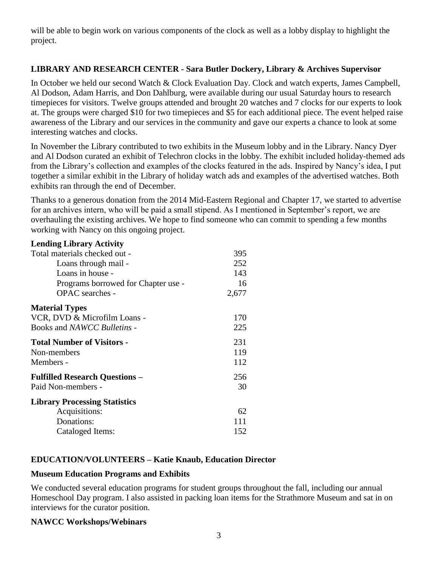will be able to begin work on various components of the clock as well as a lobby display to highlight the project.

### **LIBRARY AND RESEARCH CENTER - Sara Butler Dockery, Library & Archives Supervisor**

In October we held our second Watch & Clock Evaluation Day. Clock and watch experts, James Campbell, Al Dodson, Adam Harris, and Don Dahlburg, were available during our usual Saturday hours to research timepieces for visitors. Twelve groups attended and brought 20 watches and 7 clocks for our experts to look at. The groups were charged \$10 for two timepieces and \$5 for each additional piece. The event helped raise awareness of the Library and our services in the community and gave our experts a chance to look at some interesting watches and clocks.

In November the Library contributed to two exhibits in the Museum lobby and in the Library. Nancy Dyer and Al Dodson curated an exhibit of Telechron clocks in the lobby. The exhibit included holiday-themed ads from the Library's collection and examples of the clocks featured in the ads. Inspired by Nancy's idea, I put together a similar exhibit in the Library of holiday watch ads and examples of the advertised watches. Both exhibits ran through the end of December.

Thanks to a generous donation from the 2014 Mid-Eastern Regional and Chapter 17, we started to advertise for an archives intern, who will be paid a small stipend. As I mentioned in September's report, we are overhauling the existing archives. We hope to find someone who can commit to spending a few months working with Nancy on this ongoing project.

### **Lending Library Activity**

| Total materials checked out -         | 395   |
|---------------------------------------|-------|
| Loans through mail -                  | 252   |
| Loans in house -                      | 143   |
| Programs borrowed for Chapter use -   | 16    |
| <b>OPAC</b> searches -                | 2,677 |
| <b>Material Types</b>                 |       |
| VCR, DVD & Microfilm Loans -          | 170   |
| Books and NAWCC Bulletins -           | 225   |
| <b>Total Number of Visitors -</b>     | 231   |
| Non-members                           | 119   |
| Members -                             | 112   |
| <b>Fulfilled Research Questions -</b> | 256   |
| Paid Non-members -                    | 30    |
| <b>Library Processing Statistics</b>  |       |
| Acquisitions:                         | 62    |
| Donations:                            | 111   |
| Cataloged Items:                      | 152   |

### **EDUCATION/VOLUNTEERS – Katie Knaub, Education Director**

### **Museum Education Programs and Exhibits**

We conducted several education programs for student groups throughout the fall, including our annual Homeschool Day program. I also assisted in packing loan items for the Strathmore Museum and sat in on interviews for the curator position.

### **NAWCC Workshops/Webinars**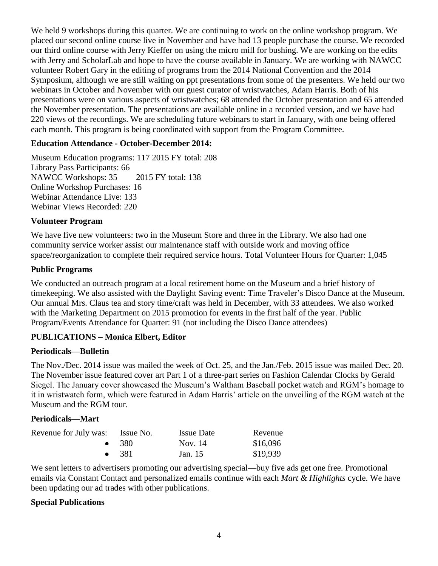We held 9 workshops during this quarter. We are continuing to work on the online workshop program. We placed our second online course live in November and have had 13 people purchase the course. We recorded our third online course with Jerry Kieffer on using the micro mill for bushing. We are working on the edits with Jerry and ScholarLab and hope to have the course available in January. We are working with NAWCC volunteer Robert Gary in the editing of programs from the 2014 National Convention and the 2014 Symposium, although we are still waiting on ppt presentations from some of the presenters. We held our two webinars in October and November with our guest curator of wristwatches, Adam Harris. Both of his presentations were on various aspects of wristwatches; 68 attended the October presentation and 65 attended the November presentation. The presentations are available online in a recorded version, and we have had 220 views of the recordings. We are scheduling future webinars to start in January, with one being offered each month. This program is being coordinated with support from the Program Committee.

### **Education Attendance - October-December 2014:**

Museum Education programs: 117 2015 FY total: 208 Library Pass Participants: 66 NAWCC Workshops: 35 2015 FY total: 138 Online Workshop Purchases: 16 Webinar Attendance Live: 133 Webinar Views Recorded: 220

#### **Volunteer Program**

We have five new volunteers: two in the Museum Store and three in the Library. We also had one community service worker assist our maintenance staff with outside work and moving office space/reorganization to complete their required service hours. Total Volunteer Hours for Quarter: 1,045

#### **Public Programs**

We conducted an outreach program at a local retirement home on the Museum and a brief history of timekeeping. We also assisted with the Daylight Saving event: Time Traveler's Disco Dance at the Museum. Our annual Mrs. Claus tea and story time/craft was held in December, with 33 attendees. We also worked with the Marketing Department on 2015 promotion for events in the first half of the year. Public Program/Events Attendance for Quarter: 91 (not including the Disco Dance attendees)

### **PUBLICATIONS – Monica Elbert, Editor**

#### **Periodicals—Bulletin**

The Nov./Dec. 2014 issue was mailed the week of Oct. 25, and the Jan./Feb. 2015 issue was mailed Dec. 20. The November issue featured cover art Part 1 of a three-part series on Fashion Calendar Clocks by Gerald Siegel. The January cover showcased the Museum's Waltham Baseball pocket watch and RGM's homage to it in wristwatch form, which were featured in Adam Harris' article on the unveiling of the RGM watch at the Museum and the RGM tour.

### **Periodicals—Mart**

| Revenue for July was: | Issue No. | <b>Issue Date</b> | Revenue  |
|-----------------------|-----------|-------------------|----------|
|                       | - 380-    | Nov. 14           | \$16,096 |
|                       | - 381     | Jan. 15           | \$19,939 |

We sent letters to advertisers promoting our advertising special—buy five ads get one free. Promotional emails via Constant Contact and personalized emails continue with each *Mart & Highlights* cycle. We have been updating our ad trades with other publications.

#### **Special Publications**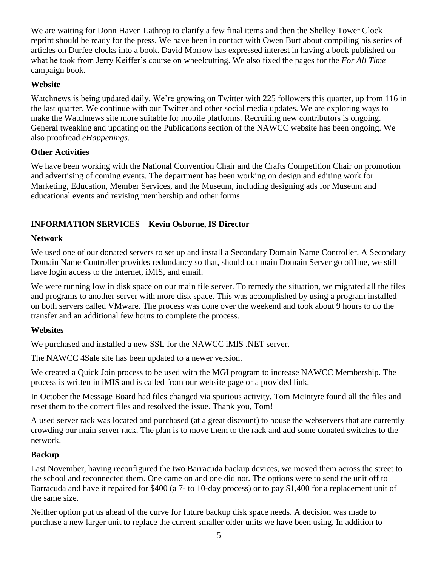We are waiting for Donn Haven Lathrop to clarify a few final items and then the Shelley Tower Clock reprint should be ready for the press. We have been in contact with Owen Burt about compiling his series of articles on Durfee clocks into a book. David Morrow has expressed interest in having a book published on what he took from Jerry Keiffer's course on wheelcutting. We also fixed the pages for the *For All Time* campaign book.

## **Website**

Watchnews is being updated daily. We're growing on Twitter with 225 followers this quarter, up from 116 in the last quarter. We continue with our Twitter and other social media updates. We are exploring ways to make the Watchnews site more suitable for mobile platforms. Recruiting new contributors is ongoing. General tweaking and updating on the Publications section of the NAWCC website has been ongoing. We also proofread *eHappenings*.

### **Other Activities**

We have been working with the National Convention Chair and the Crafts Competition Chair on promotion and advertising of coming events. The department has been working on design and editing work for Marketing, Education, Member Services, and the Museum, including designing ads for Museum and educational events and revising membership and other forms.

# **INFORMATION SERVICES – Kevin Osborne, IS Director**

### **Network**

We used one of our donated servers to set up and install a Secondary Domain Name Controller. A Secondary Domain Name Controller provides redundancy so that, should our main Domain Server go offline, we still have login access to the Internet, *iMIS*, and email.

We were running low in disk space on our main file server. To remedy the situation, we migrated all the files and programs to another server with more disk space. This was accomplished by using a program installed on both servers called VMware. The process was done over the weekend and took about 9 hours to do the transfer and an additional few hours to complete the process.

### **Websites**

We purchased and installed a new SSL for the NAWCC iMIS .NET server.

The NAWCC 4Sale site has been updated to a newer version.

We created a Quick Join process to be used with the MGI program to increase NAWCC Membership. The process is written in iMIS and is called from our website page or a provided link.

In October the Message Board had files changed via spurious activity. Tom McIntyre found all the files and reset them to the correct files and resolved the issue. Thank you, Tom!

A used server rack was located and purchased (at a great discount) to house the webservers that are currently crowding our main server rack. The plan is to move them to the rack and add some donated switches to the network.

# **Backup**

Last November, having reconfigured the two Barracuda backup devices, we moved them across the street to the school and reconnected them. One came on and one did not. The options were to send the unit off to Barracuda and have it repaired for \$400 (a 7- to 10-day process) or to pay \$1,400 for a replacement unit of the same size.

Neither option put us ahead of the curve for future backup disk space needs. A decision was made to purchase a new larger unit to replace the current smaller older units we have been using. In addition to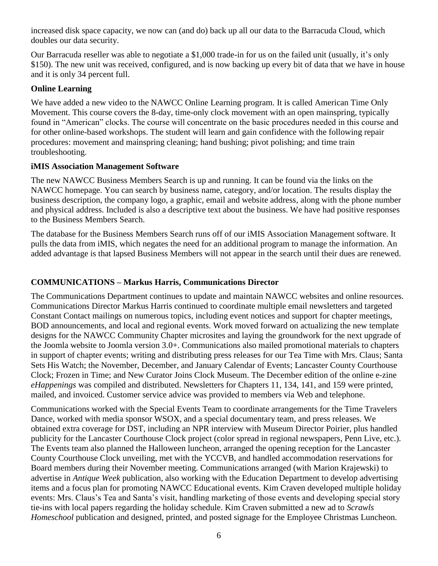increased disk space capacity, we now can (and do) back up all our data to the Barracuda Cloud, which doubles our data security.

Our Barracuda reseller was able to negotiate a \$1,000 trade-in for us on the failed unit (usually, it's only \$150). The new unit was received, configured, and is now backing up every bit of data that we have in house and it is only 34 percent full.

## **Online Learning**

We have added a new video to the NAWCC Online Learning program. It is called American Time Only Movement. This course covers the 8-day, time-only clock movement with an open mainspring, typically found in "American" clocks. The course will concentrate on the basic procedures needed in this course and for other online-based workshops. The student will learn and gain confidence with the following repair procedures: movement and mainspring cleaning; hand bushing; pivot polishing; and time train troubleshooting.

### **iMIS Association Management Software**

The new NAWCC Business Members Search is up and running. It can be found via the links on the NAWCC homepage. You can search by business name, category, and/or location. The results display the business description, the company logo, a graphic, email and website address, along with the phone number and physical address. Included is also a descriptive text about the business. We have had positive responses to the Business Members Search.

The database for the Business Members Search runs off of our iMIS Association Management software. It pulls the data from iMIS, which negates the need for an additional program to manage the information. An added advantage is that lapsed Business Members will not appear in the search until their dues are renewed.

### **COMMUNICATIONS – Markus Harris, Communications Director**

The Communications Department continues to update and maintain NAWCC websites and online resources. Communications Director Markus Harris continued to coordinate multiple email newsletters and targeted Constant Contact mailings on numerous topics, including event notices and support for chapter meetings, BOD announcements, and local and regional events. Work moved forward on actualizing the new template designs for the NAWCC Community Chapter microsites and laying the groundwork for the next upgrade of the Joomla website to Joomla version 3.0+. Communications also mailed promotional materials to chapters in support of chapter events; writing and distributing press releases for our Tea Time with Mrs. Claus; Santa Sets His Watch; the November, December, and January Calendar of Events; Lancaster County Courthouse Clock; Frozen in Time; and New Curator Joins Clock Museum. The December edition of the online e-zine *eHappenings* was compiled and distributed. Newsletters for Chapters 11, 134, 141, and 159 were printed, mailed, and invoiced. Customer service advice was provided to members via Web and telephone.

Communications worked with the Special Events Team to coordinate arrangements for the Time Travelers Dance, worked with media sponsor WSOX, and a special documentary team, and press releases. We obtained extra coverage for DST, including an NPR interview with Museum Director Poirier, plus handled publicity for the Lancaster Courthouse Clock project (color spread in regional newspapers, Penn Live, etc.). The Events team also planned the Halloween luncheon, arranged the opening reception for the Lancaster County Courthouse Clock unveiling, met with the YCCVB, and handled accommodation reservations for Board members during their November meeting. Communications arranged (with Marion Krajewski) to advertise in *Antique Week* publication, also working with the Education Department to develop advertising items and a focus plan for promoting NAWCC Educational events. Kim Craven developed multiple holiday events: Mrs. Claus's Tea and Santa's visit, handling marketing of those events and developing special story tie-ins with local papers regarding the holiday schedule. Kim Craven submitted a new ad to *Scrawls Homeschool* publication and designed, printed, and posted signage for the Employee Christmas Luncheon.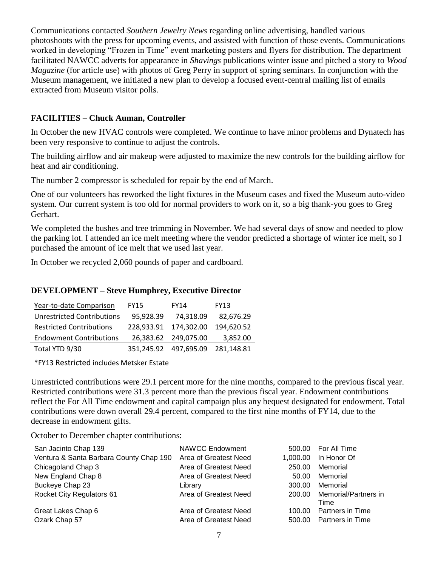Communications contacted *Southern Jewelry News* regarding online advertising, handled various photoshoots with the press for upcoming events, and assisted with function of those events. Communications worked in developing "Frozen in Time" event marketing posters and flyers for distribution. The department facilitated NAWCC adverts for appearance in *Shavings* publications winter issue and pitched a story to *Wood Magazine* (for article use) with photos of Greg Perry in support of spring seminars. In conjunction with the Museum management, we initiated a new plan to develop a focused event-central mailing list of emails extracted from Museum visitor polls.

# **FACILITIES – Chuck Auman, Controller**

In October the new HVAC controls were completed. We continue to have minor problems and Dynatech has been very responsive to continue to adjust the controls.

The building airflow and air makeup were adjusted to maximize the new controls for the building airflow for heat and air conditioning.

The number 2 compressor is scheduled for repair by the end of March.

One of our volunteers has reworked the light fixtures in the Museum cases and fixed the Museum auto-video system. Our current system is too old for normal providers to work on it, so a big thank-you goes to Greg Gerhart.

We completed the bushes and tree trimming in November. We had several days of snow and needed to plow the parking lot. I attended an ice melt meeting where the vendor predicted a shortage of winter ice melt, so I purchased the amount of ice melt that we used last year.

In October we recycled 2,060 pounds of paper and cardboard.

### **DEVELOPMENT – Steve Humphrey, Executive Director**

| Year-to-date Comparison           | <b>FY15</b> | <b>FY14</b>           | <b>FY13</b> |
|-----------------------------------|-------------|-----------------------|-------------|
| <b>Unrestricted Contributions</b> | 95,928.39   | 74,318.09             | 82,676.29   |
| <b>Restricted Contributions</b>   |             | 228,933.91 174,302.00 | 194,620.52  |
| <b>Endowment Contributions</b>    |             | 26,383.62 249,075.00  | 3,852.00    |
| Total YTD 9/30                    |             | 351,245.92 497,695.09 | 281,148.81  |

\*FY13 Restricted includes Metsker Estate

Unrestricted contributions were 29.1 percent more for the nine months, compared to the previous fiscal year. Restricted contributions were 31.3 percent more than the previous fiscal year. Endowment contributions reflect the For All Time endowment and capital campaign plus any bequest designated for endowment. Total contributions were down overall 29.4 percent, compared to the first nine months of FY14, due to the decrease in endowment gifts.

October to December chapter contributions:

| San Jacinto Chap 139                    | <b>NAWCC Endowment</b> | 500.00   | For All Time         |
|-----------------------------------------|------------------------|----------|----------------------|
| Ventura & Santa Barbara County Chap 190 | Area of Greatest Need  | 1.000.00 | In Honor Of          |
| Chicagoland Chap 3                      | Area of Greatest Need  | 250.00   | Memorial             |
| New England Chap 8                      | Area of Greatest Need  | 50.00    | Memorial             |
| Buckeye Chap 23                         | Library                | 300.00   | Memorial             |
| <b>Rocket City Regulators 61</b>        | Area of Greatest Need  | 200.00   | Memorial/Partners in |
|                                         |                        |          | Time                 |
| Great Lakes Chap 6                      | Area of Greatest Need  | 100.00   | Partners in Time     |
| Ozark Chap 57                           | Area of Greatest Need  | 500.00   | Partners in Time     |